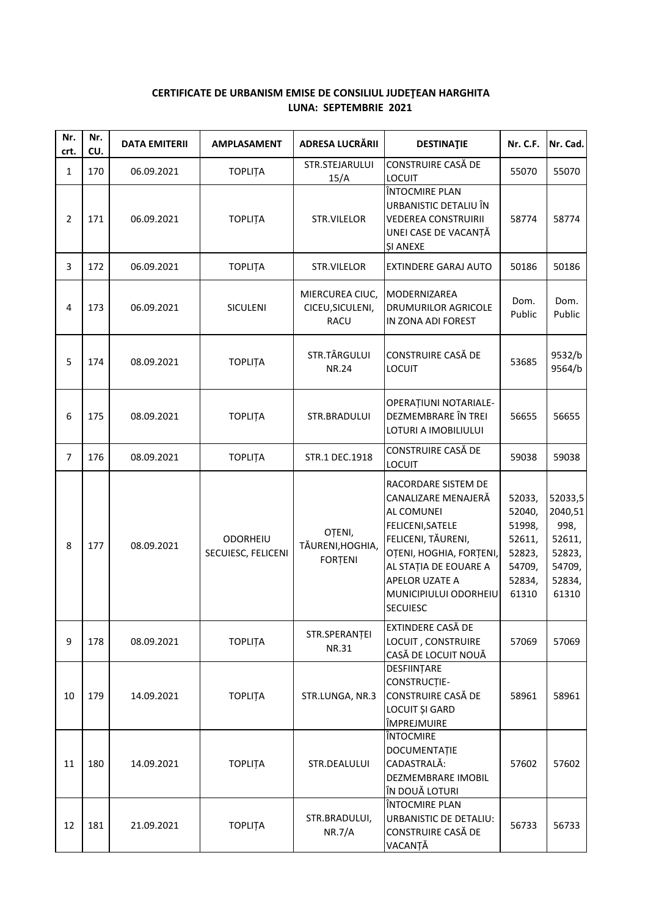## **CERTIFICATE DE URBANISM EMISE DE CONSILIUL JUDEŢEAN HARGHITA LUNA: SEPTEMBRIE 2021**

| Nr.<br>crt.    | Nr.<br>CU. | <b>DATA EMITERII</b> | <b>AMPLASAMENT</b>                    | ADRESA LUCRĂRII                                    | <b>DESTINATIE</b>                                                                                                                                                                                                    | <b>Nr. C.F.</b>                                                             | Nr. Cad.                                                                    |
|----------------|------------|----------------------|---------------------------------------|----------------------------------------------------|----------------------------------------------------------------------------------------------------------------------------------------------------------------------------------------------------------------------|-----------------------------------------------------------------------------|-----------------------------------------------------------------------------|
| $\mathbf{1}$   | 170        | 06.09.2021           | <b>TOPLITA</b>                        | STR.STEJARULUI<br>15/A                             | <b>CONSTRUIRE CASĂ DE</b><br><b>LOCUIT</b>                                                                                                                                                                           | 55070                                                                       | 55070                                                                       |
| $\overline{2}$ | 171        | 06.09.2021           | <b>TOPLITA</b>                        | STR.VILELOR                                        | ÎNTOCMIRE PLAN<br>URBANISTIC DETALIU ÎN<br><b>VEDEREA CONSTRUIRII</b><br>UNEI CASE DE VACANȚĂ<br><b>SI ANEXE</b>                                                                                                     | 58774                                                                       | 58774                                                                       |
| 3              | 172        | 06.09.2021           | <b>TOPLITA</b>                        | STR.VILELOR                                        | EXTINDERE GARAJ AUTO                                                                                                                                                                                                 | 50186                                                                       | 50186                                                                       |
| 4              | 173        | 06.09.2021           | <b>SICULENI</b>                       | MIERCUREA CIUC,<br>CICEU, SICULENI,<br><b>RACU</b> | MODERNIZAREA<br>DRUMURILOR AGRICOLE<br>IN ZONA ADI FOREST                                                                                                                                                            | Dom.<br>Public                                                              | Dom.<br>Public                                                              |
| 5              | 174        | 08.09.2021           | <b>TOPLITA</b>                        | STR.TÂRGULUI<br><b>NR.24</b>                       | CONSTRUIRE CASĂ DE<br><b>LOCUIT</b>                                                                                                                                                                                  | 53685                                                                       | 9532/b<br>9564/b                                                            |
| 6              | 175        | 08.09.2021           | <b>TOPLITA</b>                        | STR.BRADULUI                                       | OPERAȚIUNI NOTARIALE-<br>DEZMEMBRARE ÎN TREI<br>LOTURI A IMOBILIULUI                                                                                                                                                 | 56655                                                                       | 56655                                                                       |
| $\overline{7}$ | 176        | 08.09.2021           | <b>TOPLITA</b>                        | STR.1 DEC.1918                                     | CONSTRUIRE CASĂ DE<br><b>LOCUIT</b>                                                                                                                                                                                  | 59038                                                                       | 59038                                                                       |
| 8              | 177        | 08.09.2021           | <b>ODORHEIU</b><br>SECUIESC, FELICENI | OȚENI,<br>TĂURENI, HOGHIA,<br><b>FORTENI</b>       | RACORDARE SISTEM DE<br>CANALIZARE MENAJERĂ<br>AL COMUNEI<br>FELICENI, SATELE<br>FELICENI, TĂURENI,<br>OȚENI, HOGHIA, FORȚENI,<br>AL STAȚIA DE EOUARE A<br>APELOR UZATE A<br>MUNICIPIULUI ODORHEIU<br><b>SECUIESC</b> | 52033,<br>52040,<br>51998,<br>52611,<br>52823,<br>54709,<br>52834,<br>61310 | 52033,5<br>2040,51<br>998,<br>52611,<br>52823,<br>54709,<br>52834,<br>61310 |
| 9              | 178        | 08.09.2021           | <b>TOPLITA</b>                        | STR.SPERANȚEI<br>NR.31                             | EXTINDERE CASĂ DE<br>LOCUIT, CONSTRUIRE<br>CASĂ DE LOCUIT NOUĂ                                                                                                                                                       | 57069                                                                       | 57069                                                                       |
| 10             | 179        | 14.09.2021           | <b>TOPLITA</b>                        | STR.LUNGA, NR.3                                    | DESFIINȚARE<br>CONSTRUCTIE-<br><b>CONSTRUIRE CASĂ DE</b><br><b>LOCUIT ȘI GARD</b><br>ÎMPREJMUIRE                                                                                                                     | 58961                                                                       | 58961                                                                       |
| 11             | 180        | 14.09.2021           | <b>TOPLITA</b>                        | STR.DEALULUI                                       | ÎNTOCMIRE<br>DOCUMENTAȚIE<br>CADASTRALĂ:<br>DEZMEMBRARE IMOBIL<br>ÎN DOUĂ LOTURI                                                                                                                                     | 57602                                                                       | 57602                                                                       |
| 12             | 181        | 21.09.2021           | <b>TOPLITA</b>                        | STR.BRADULUI,<br>NR.7/A                            | ÎNTOCMIRE PLAN<br><b>URBANISTIC DE DETALIU:</b><br>CONSTRUIRE CASĂ DE<br>VACANȚĂ                                                                                                                                     | 56733                                                                       | 56733                                                                       |